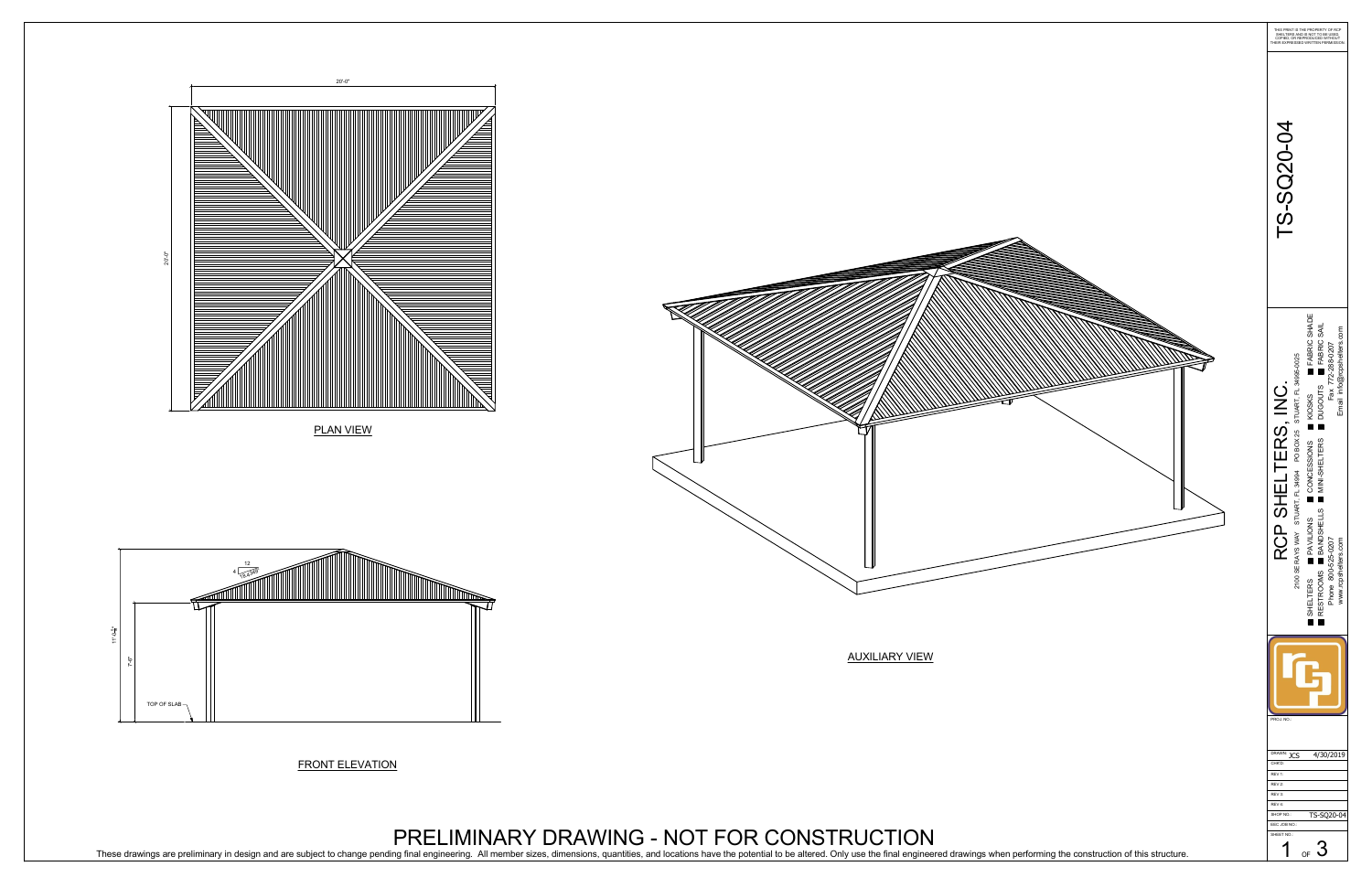

These drawings are preliminary in design and are subject to change pending final engineering. All member sizes, dimensions, quantities, and locations have the potential to be altered. Only use the final engineered drawings



## PRELIMINARY DRAWING - NOT FOR CONSTRUCTION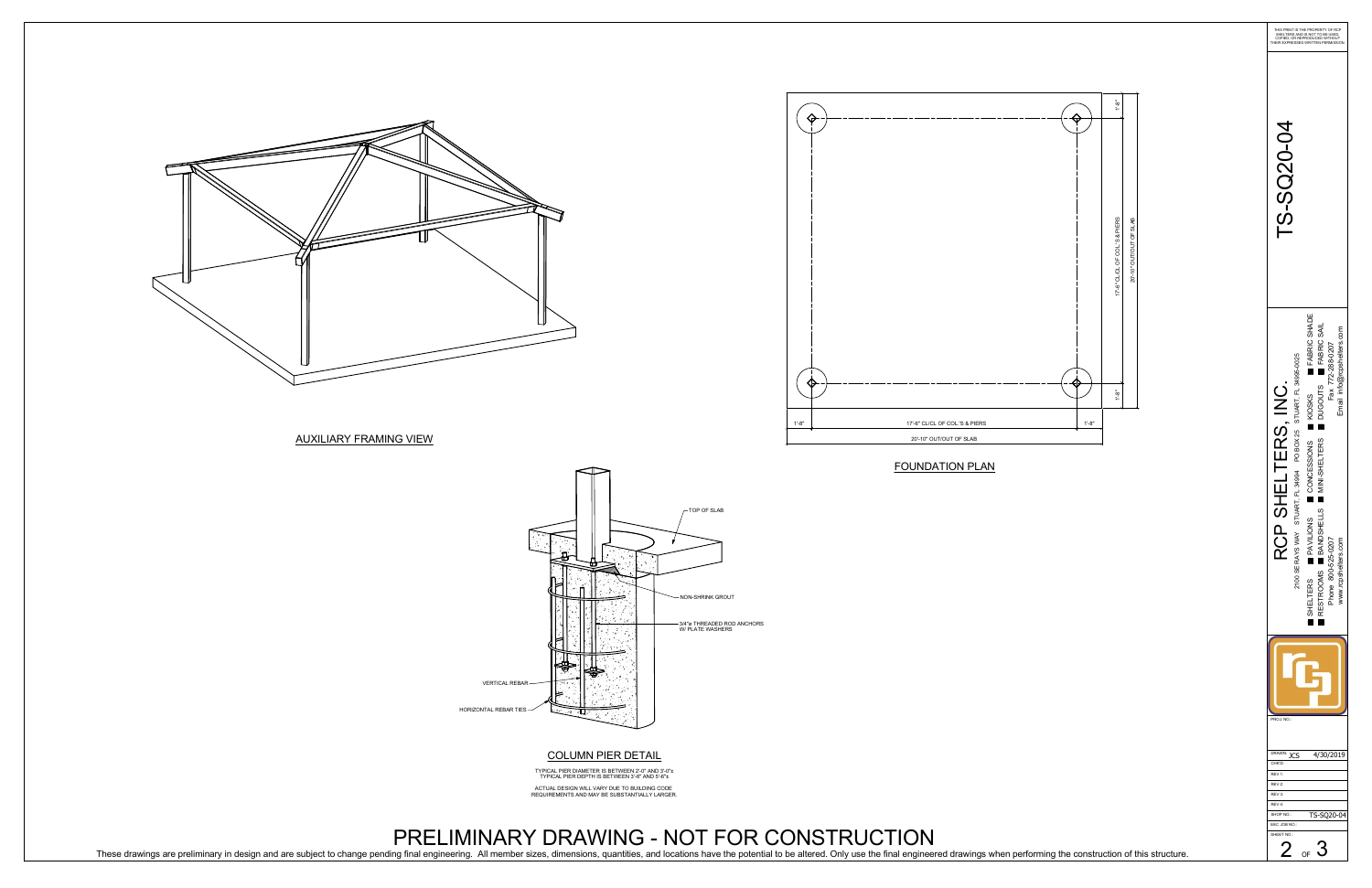

AUXILIARY FRAMING VIEW

COLUMN PIER DETAIL

TYPICAL PIER DIAMETER IS BETWEEN 2'-0" AND 3'-0" TYPICAL PIER DEPTH IS BETWEEN 3'-6" AND 5'-6" ACTUAL DESIGN WILL VARY DUE TO BUILDING CODE

REQUIREMENTS AND MAY BE SUBSTANTIALLY LARGER.

PRELIMINARY DRAWING - NOT FOR CONSTRUCTION These drawings are preliminary in design and are subject to change pending final engineering. All member sizes, dimensions, quantities, and locations have the potential to be altered. Only use the final engineered drawings



VERTICAL REBAR

HORIZONTAL REBAR TIES $\rightarrow$